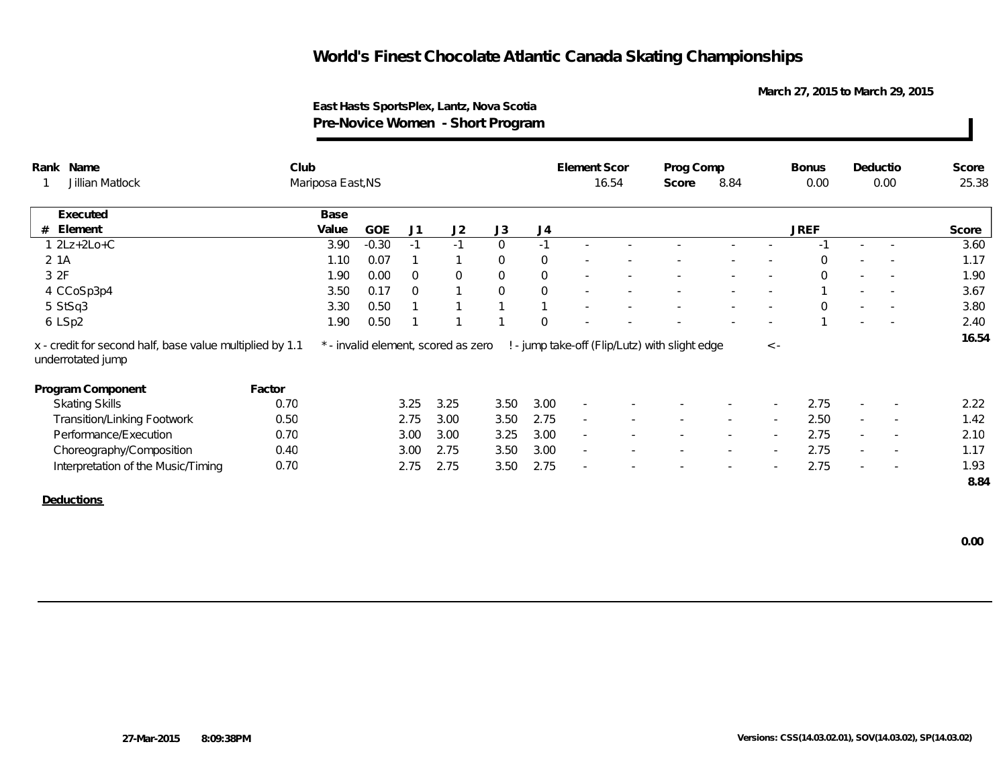**March 27, 2015 to March 29, 2015**

### **East Hasts SportsPlex, Lantz, Nova Scotia Pre-Novice Women - Short Program**

| Rank Name                                                                     | Club   |                   |            |                |                                     |                |              | Element Scor             |       | Prog Comp                                      |      |                          | <b>Bonus</b> | Deductio |                          | Score |
|-------------------------------------------------------------------------------|--------|-------------------|------------|----------------|-------------------------------------|----------------|--------------|--------------------------|-------|------------------------------------------------|------|--------------------------|--------------|----------|--------------------------|-------|
| Jillian Matlock                                                               |        | Mariposa East, NS |            |                |                                     |                |              |                          | 16.54 | Score                                          | 8.84 |                          | 0.00         |          | 0.00                     | 25.38 |
| Executed                                                                      |        | Base              |            |                |                                     |                |              |                          |       |                                                |      |                          |              |          |                          |       |
| Element<br>#                                                                  |        | Value             | <b>GOE</b> | J1             | J2                                  | J3             | J4           |                          |       |                                                |      |                          | <b>JREF</b>  |          |                          | Score |
| $1 2Lz+2Lo+C$                                                                 |        | 3.90              | $-0.30$    | $-1$           | $-1$                                | $\overline{0}$ | $-1$         |                          |       |                                                |      |                          | $-1$         |          |                          | 3.60  |
| 2 1A                                                                          |        | 1.10              | 0.07       |                |                                     | $\mathbf 0$    | $\mathbf{0}$ |                          |       |                                                |      |                          | $\mathbf 0$  |          |                          | 1.17  |
| 3 2F                                                                          |        | 1.90              | 0.00       | $\overline{0}$ | $\overline{0}$                      | $\overline{0}$ | $\mathbf{0}$ | $\sim$                   |       |                                                |      |                          | $\mathbf 0$  |          |                          | 1.90  |
| 4 CCoSp3p4                                                                    |        | 3.50              | 0.17       | $\overline{0}$ | $\mathbf{\overline{1}}$             | $\mathbf 0$    | $\mathbf{0}$ |                          |       |                                                |      |                          |              |          |                          | 3.67  |
|                                                                               |        | 3.30              | 0.50       |                | $\overline{\phantom{0}}$            | $\mathbf{1}$   |              |                          |       |                                                |      |                          | $\Omega$     |          |                          | 3.80  |
| 5 StSq3                                                                       |        |                   |            |                |                                     |                |              |                          |       |                                                |      |                          |              |          |                          |       |
| 6 LSp2                                                                        |        | 1.90              | 0.50       | $\mathbf{1}$   | $\overline{1}$                      |                | $\Omega$     |                          |       |                                                |      |                          |              |          |                          | 2.40  |
| x - credit for second half, base value multiplied by 1.1<br>underrotated jump |        |                   |            |                | * - invalid element, scored as zero |                |              |                          |       | ! - jump take-off (Flip/Lutz) with slight edge |      | $\langle$ -              |              |          |                          |       |
| Program Component                                                             | Factor |                   |            |                |                                     |                |              |                          |       |                                                |      |                          |              |          |                          | 16.54 |
| <b>Skating Skills</b>                                                         | 0.70   |                   |            | 3.25           | 3.25                                | 3.50           | 3.00         |                          |       |                                                |      |                          | 2.75         |          | $\overline{\phantom{a}}$ | 2.22  |
| <b>Transition/Linking Footwork</b>                                            | 0.50   |                   |            | 2.75           | 3.00                                | 3.50           | 2.75         | $\sim$                   |       |                                                |      |                          | 2.50         |          | $\sim$                   | 1.42  |
| Performance/Execution                                                         | 0.70   |                   |            | 3.00           | 3.00                                | 3.25           | 3.00         | $\overline{\phantom{a}}$ |       |                                                |      | $\overline{\phantom{a}}$ | 2.75         | $\sim$   | $\overline{\phantom{a}}$ | 2.10  |
| Choreography/Composition                                                      | 0.40   |                   |            | 3.00           | 2.75                                | 3.50           | 3.00         | $\sim$                   |       |                                                |      |                          | 2.75         |          | $\sim$                   | 1.17  |
| Interpretation of the Music/Timing                                            | 0.70   |                   |            | 2.75           | 2.75                                | 3.50           | 2.75         | $\overline{\phantom{a}}$ |       |                                                |      |                          | 2.75         |          | $\overline{\phantom{a}}$ | 1.93  |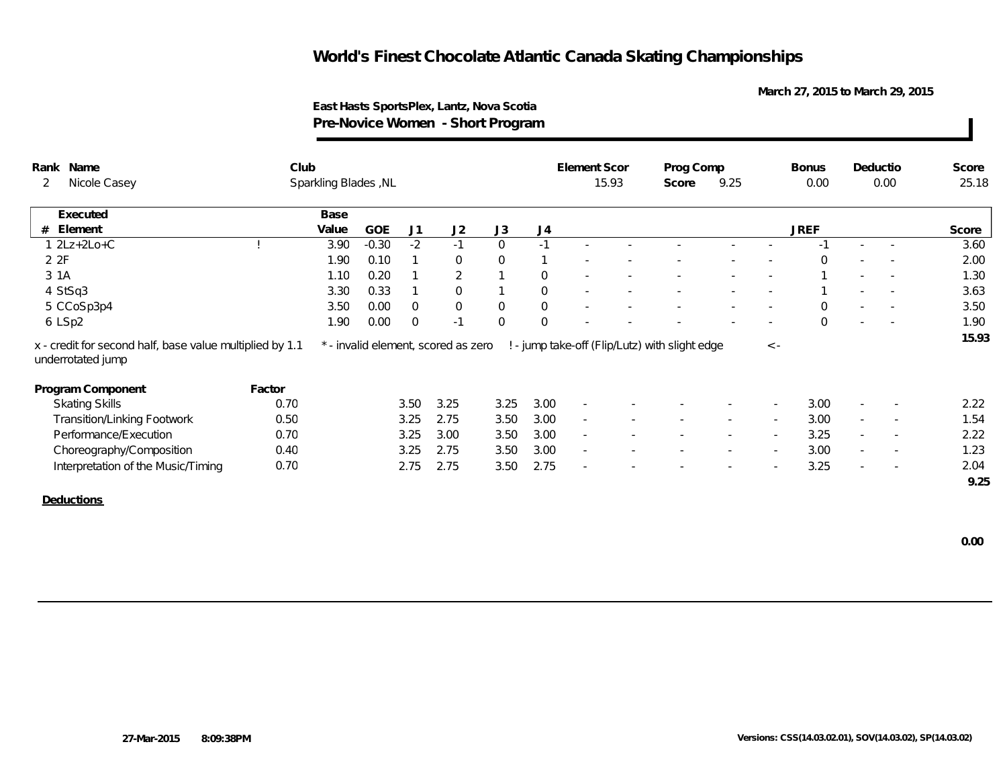**March 27, 2015 to March 29, 2015**

### **East Hasts SportsPlex, Lantz, Nova Scotia Pre-Novice Women - Short Program**

| Rank<br>Name                                                                  | Club   |                      |         |                |                                     |                |              | Element Scor             |        | Prog Comp                                      |      |                          | <b>Bonus</b> |                          | Deductio                 | Score |
|-------------------------------------------------------------------------------|--------|----------------------|---------|----------------|-------------------------------------|----------------|--------------|--------------------------|--------|------------------------------------------------|------|--------------------------|--------------|--------------------------|--------------------------|-------|
| Nicole Casey<br>$\overline{2}$                                                |        | Sparkling Blades, NL |         |                |                                     |                |              |                          | 15.93  | Score                                          | 9.25 |                          | 0.00         |                          | 0.00                     | 25.18 |
| Executed                                                                      |        | Base                 |         |                |                                     |                |              |                          |        |                                                |      |                          |              |                          |                          |       |
| Element<br>#                                                                  |        | Value                | GOE     | J1             | J2                                  | J3             | J4           |                          |        |                                                |      |                          | <b>JREF</b>  |                          |                          | Score |
| $1 2Lz+2Lo+C$                                                                 |        | 3.90                 | $-0.30$ | $-2$           | $-1$                                | $\overline{0}$ | $-1$         |                          |        |                                                |      |                          | $-1$         | $\overline{\phantom{a}}$ |                          | 3.60  |
| 2 2F                                                                          |        | 1.90                 | 0.10    |                | $\Omega$                            | $\overline{0}$ |              | $\sim$                   | $\sim$ |                                                |      |                          | $\Omega$     |                          |                          | 2.00  |
| 3 1A                                                                          |        | 1.10                 | 0.20    |                | $\overline{2}$                      |                | $\mathbf{0}$ |                          |        |                                                |      |                          |              |                          |                          | 1.30  |
| 4 StSq3                                                                       |        | 3.30                 | 0.33    | $\mathbf{1}$   | $\Omega$                            | $\mathbf{1}$   | $\mathbf{0}$ |                          |        |                                                |      |                          |              |                          |                          | 3.63  |
| 5 CCoSp3p4                                                                    |        | 3.50                 | 0.00    | $\Omega$       | $\overline{0}$                      | $\overline{0}$ | $\mathbf{0}$ |                          |        |                                                |      | $\overline{\phantom{a}}$ | $\Omega$     |                          | $\overline{\phantom{a}}$ | 3.50  |
| 6 LSp2                                                                        |        | 1.90                 | 0.00    | $\overline{0}$ | $-1$                                | $\overline{0}$ | $\Omega$     |                          |        |                                                |      | $\sim$                   | $\Omega$     | $\overline{\phantom{a}}$ | $\overline{\phantom{a}}$ | 1.90  |
| x - credit for second half, base value multiplied by 1.1<br>underrotated jump |        |                      |         |                | * - invalid element, scored as zero |                |              |                          |        | ! - jump take-off (Flip/Lutz) with slight edge |      | $\,<\,$ -                |              |                          |                          |       |
| Program Component                                                             | Factor |                      |         |                |                                     |                |              |                          |        |                                                |      |                          |              |                          |                          |       |
| <b>Skating Skills</b>                                                         | 0.70   |                      |         | 3.50           | 3.25                                | 3.25           | 3.00         | $\overline{\phantom{a}}$ |        |                                                |      |                          | 3.00         | $\sim$                   | $\sim$                   | 2.22  |
| Transition/Linking Footwork                                                   | 0.50   |                      |         | 3.25           | 2.75                                | 3.50           | 3.00         | $\sim$                   |        |                                                |      |                          | 3.00         | $\sim$                   | $\sim$                   | 1.54  |
| Performance/Execution                                                         | 0.70   |                      |         | 3.25           | 3.00                                | 3.50           | 3.00         | $\sim$                   |        |                                                |      |                          | 3.25         | $\sim$                   | $\overline{\phantom{a}}$ | 2.22  |
| Choreography/Composition                                                      | 0.40   |                      |         | 3.25           | 2.75                                | 3.50           | 3.00         | $\sim$                   |        |                                                |      |                          | 3.00         | $\sim$                   | $\overline{\phantom{a}}$ | 1.23  |
| Interpretation of the Music/Timing                                            | 0.70   |                      |         | 2.75           | 2.75                                | 3.50           | 2.75         | $\overline{\phantom{a}}$ |        |                                                |      |                          | 3.25         | $\overline{\phantom{a}}$ |                          | 2.04  |
|                                                                               |        |                      |         |                |                                     |                |              |                          |        |                                                |      |                          |              |                          |                          | 9.25  |
| Deductions                                                                    |        |                      |         |                |                                     |                |              |                          |        |                                                |      |                          |              |                          |                          |       |
|                                                                               |        |                      |         |                |                                     |                |              |                          |        |                                                |      |                          |              |                          |                          |       |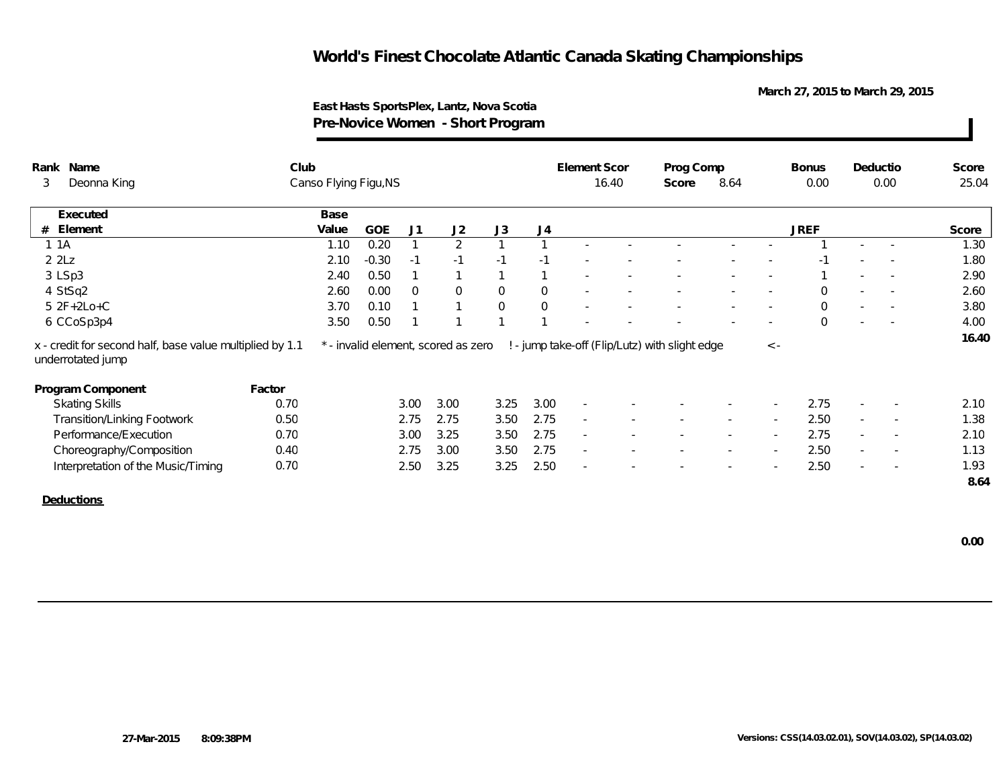**March 27, 2015 to March 29, 2015**

### **East Hasts SportsPlex, Lantz, Nova Scotia Pre-Novice Women - Short Program**

| 16.40<br>8.64<br>0.00<br>0.00<br>25.04<br>Score<br>J3<br><b>JREF</b><br>J1<br>J2<br>J <sub>4</sub><br>Score<br>2<br>1.30<br>$\mathbf{1}$<br>1.80<br>$-1$<br>$-1$<br>$-1$<br>$-1$<br>$\overline{1}$<br>2.90<br>$\overline{0}$<br>$\mathbf{0}$<br>$\overline{0}$<br>$\Omega$<br>2.60<br>$\Omega$<br>$\overline{\phantom{a}}$<br>$\overline{\phantom{a}}$<br>$\overline{0}$<br>$\mathbf 0$<br>3.80<br>$\mathbf{1}$<br>$\Omega$<br>$\mathbf{1}$<br>$\overline{\phantom{a}}$<br>$\overline{1}$<br>$\Omega$<br>$\mathbf{1}$ | Canso Flying Figu, NS<br>Deonna King<br>3<br>Base<br>Executed<br><b>GOE</b><br># Element<br>Value<br>0.20<br>1 1 A<br>1.10<br>22Lz<br>$-0.30$<br>2.10<br>3 LSp3<br>0.50<br>2.40<br>0.00<br>4 StSq2<br>2.60<br>$5 2F+2Lo+C$<br>3.70<br>0.10<br>0.50<br>3.50<br>6 CCoSp3p4<br>16.40<br>! - jump take-off (Flip/Lutz) with slight edge<br>x - credit for second half, base value multiplied by 1.1<br>* - invalid element, scored as zero<br>$\langle$ -<br>underrotated jump<br>Program Component<br>Factor<br>2.75<br>0.70<br>3.00<br>3.00<br>3.25<br>3.00<br><b>Skating Skills</b><br>$\overline{\phantom{a}}$<br>2.75<br>2.50<br><b>Transition/Linking Footwork</b><br>0.50<br>2.75<br>2.75<br>3.50<br>$\sim$<br>$\sim$<br>2.75<br>Performance/Execution<br>0.70<br>3.25<br>2.75<br>3.00<br>3.50<br>$\sim$<br>$\sim$<br>$\overline{\phantom{a}}$ |                          |      | Club |  |  | Element Scor | Prog Comp |  | <b>Bonus</b> | Deductio | Score |
|-----------------------------------------------------------------------------------------------------------------------------------------------------------------------------------------------------------------------------------------------------------------------------------------------------------------------------------------------------------------------------------------------------------------------------------------------------------------------------------------------------------------------|---------------------------------------------------------------------------------------------------------------------------------------------------------------------------------------------------------------------------------------------------------------------------------------------------------------------------------------------------------------------------------------------------------------------------------------------------------------------------------------------------------------------------------------------------------------------------------------------------------------------------------------------------------------------------------------------------------------------------------------------------------------------------------------------------------------------------------------------------|--------------------------|------|------|--|--|--------------|-----------|--|--------------|----------|-------|
|                                                                                                                                                                                                                                                                                                                                                                                                                                                                                                                       |                                                                                                                                                                                                                                                                                                                                                                                                                                                                                                                                                                                                                                                                                                                                                                                                                                                   |                          |      |      |  |  |              |           |  |              |          |       |
|                                                                                                                                                                                                                                                                                                                                                                                                                                                                                                                       |                                                                                                                                                                                                                                                                                                                                                                                                                                                                                                                                                                                                                                                                                                                                                                                                                                                   |                          |      |      |  |  |              |           |  |              |          |       |
|                                                                                                                                                                                                                                                                                                                                                                                                                                                                                                                       |                                                                                                                                                                                                                                                                                                                                                                                                                                                                                                                                                                                                                                                                                                                                                                                                                                                   |                          |      |      |  |  |              |           |  |              |          |       |
|                                                                                                                                                                                                                                                                                                                                                                                                                                                                                                                       |                                                                                                                                                                                                                                                                                                                                                                                                                                                                                                                                                                                                                                                                                                                                                                                                                                                   |                          |      |      |  |  |              |           |  |              |          |       |
|                                                                                                                                                                                                                                                                                                                                                                                                                                                                                                                       |                                                                                                                                                                                                                                                                                                                                                                                                                                                                                                                                                                                                                                                                                                                                                                                                                                                   |                          |      |      |  |  |              |           |  |              |          |       |
|                                                                                                                                                                                                                                                                                                                                                                                                                                                                                                                       |                                                                                                                                                                                                                                                                                                                                                                                                                                                                                                                                                                                                                                                                                                                                                                                                                                                   |                          |      |      |  |  |              |           |  |              |          |       |
|                                                                                                                                                                                                                                                                                                                                                                                                                                                                                                                       |                                                                                                                                                                                                                                                                                                                                                                                                                                                                                                                                                                                                                                                                                                                                                                                                                                                   |                          |      |      |  |  |              |           |  |              |          |       |
|                                                                                                                                                                                                                                                                                                                                                                                                                                                                                                                       |                                                                                                                                                                                                                                                                                                                                                                                                                                                                                                                                                                                                                                                                                                                                                                                                                                                   |                          |      |      |  |  |              |           |  |              |          |       |
|                                                                                                                                                                                                                                                                                                                                                                                                                                                                                                                       |                                                                                                                                                                                                                                                                                                                                                                                                                                                                                                                                                                                                                                                                                                                                                                                                                                                   |                          |      |      |  |  |              |           |  |              |          | 4.00  |
|                                                                                                                                                                                                                                                                                                                                                                                                                                                                                                                       |                                                                                                                                                                                                                                                                                                                                                                                                                                                                                                                                                                                                                                                                                                                                                                                                                                                   |                          |      |      |  |  |              |           |  |              |          |       |
|                                                                                                                                                                                                                                                                                                                                                                                                                                                                                                                       |                                                                                                                                                                                                                                                                                                                                                                                                                                                                                                                                                                                                                                                                                                                                                                                                                                                   |                          |      |      |  |  |              |           |  |              |          |       |
|                                                                                                                                                                                                                                                                                                                                                                                                                                                                                                                       |                                                                                                                                                                                                                                                                                                                                                                                                                                                                                                                                                                                                                                                                                                                                                                                                                                                   |                          |      |      |  |  |              |           |  |              |          |       |
| 2.10                                                                                                                                                                                                                                                                                                                                                                                                                                                                                                                  |                                                                                                                                                                                                                                                                                                                                                                                                                                                                                                                                                                                                                                                                                                                                                                                                                                                   |                          |      |      |  |  |              |           |  |              |          |       |
| 1.38                                                                                                                                                                                                                                                                                                                                                                                                                                                                                                                  |                                                                                                                                                                                                                                                                                                                                                                                                                                                                                                                                                                                                                                                                                                                                                                                                                                                   |                          |      |      |  |  |              |           |  |              |          |       |
| 2.10                                                                                                                                                                                                                                                                                                                                                                                                                                                                                                                  |                                                                                                                                                                                                                                                                                                                                                                                                                                                                                                                                                                                                                                                                                                                                                                                                                                                   |                          |      |      |  |  |              |           |  |              |          |       |
| 2.75<br>2.50<br>3.00<br>3.50<br>1.13<br>2.75<br>$\overline{\phantom{a}}$<br>$\sim$<br>$\sim$<br>$\overline{\phantom{a}}$                                                                                                                                                                                                                                                                                                                                                                                              | 2.50<br>0.70<br>3.25<br>3.25<br>2.50<br>Interpretation of the Music/Timing<br>2.50<br>$\overline{\phantom{a}}$<br>$\overline{\phantom{a}}$                                                                                                                                                                                                                                                                                                                                                                                                                                                                                                                                                                                                                                                                                                        | Choreography/Composition | 0.40 |      |  |  |              |           |  |              |          |       |
| 1.93                                                                                                                                                                                                                                                                                                                                                                                                                                                                                                                  | 8.64                                                                                                                                                                                                                                                                                                                                                                                                                                                                                                                                                                                                                                                                                                                                                                                                                                              |                          |      |      |  |  |              |           |  |              |          |       |
|                                                                                                                                                                                                                                                                                                                                                                                                                                                                                                                       |                                                                                                                                                                                                                                                                                                                                                                                                                                                                                                                                                                                                                                                                                                                                                                                                                                                   |                          |      |      |  |  |              |           |  |              |          |       |
|                                                                                                                                                                                                                                                                                                                                                                                                                                                                                                                       |                                                                                                                                                                                                                                                                                                                                                                                                                                                                                                                                                                                                                                                                                                                                                                                                                                                   |                          |      |      |  |  |              |           |  |              |          |       |
|                                                                                                                                                                                                                                                                                                                                                                                                                                                                                                                       |                                                                                                                                                                                                                                                                                                                                                                                                                                                                                                                                                                                                                                                                                                                                                                                                                                                   |                          |      |      |  |  |              |           |  |              |          |       |
|                                                                                                                                                                                                                                                                                                                                                                                                                                                                                                                       |                                                                                                                                                                                                                                                                                                                                                                                                                                                                                                                                                                                                                                                                                                                                                                                                                                                   |                          |      |      |  |  |              |           |  |              |          |       |
|                                                                                                                                                                                                                                                                                                                                                                                                                                                                                                                       |                                                                                                                                                                                                                                                                                                                                                                                                                                                                                                                                                                                                                                                                                                                                                                                                                                                   |                          |      |      |  |  |              |           |  |              |          |       |
|                                                                                                                                                                                                                                                                                                                                                                                                                                                                                                                       |                                                                                                                                                                                                                                                                                                                                                                                                                                                                                                                                                                                                                                                                                                                                                                                                                                                   |                          |      |      |  |  |              |           |  |              |          |       |
|                                                                                                                                                                                                                                                                                                                                                                                                                                                                                                                       |                                                                                                                                                                                                                                                                                                                                                                                                                                                                                                                                                                                                                                                                                                                                                                                                                                                   |                          |      |      |  |  |              |           |  |              |          |       |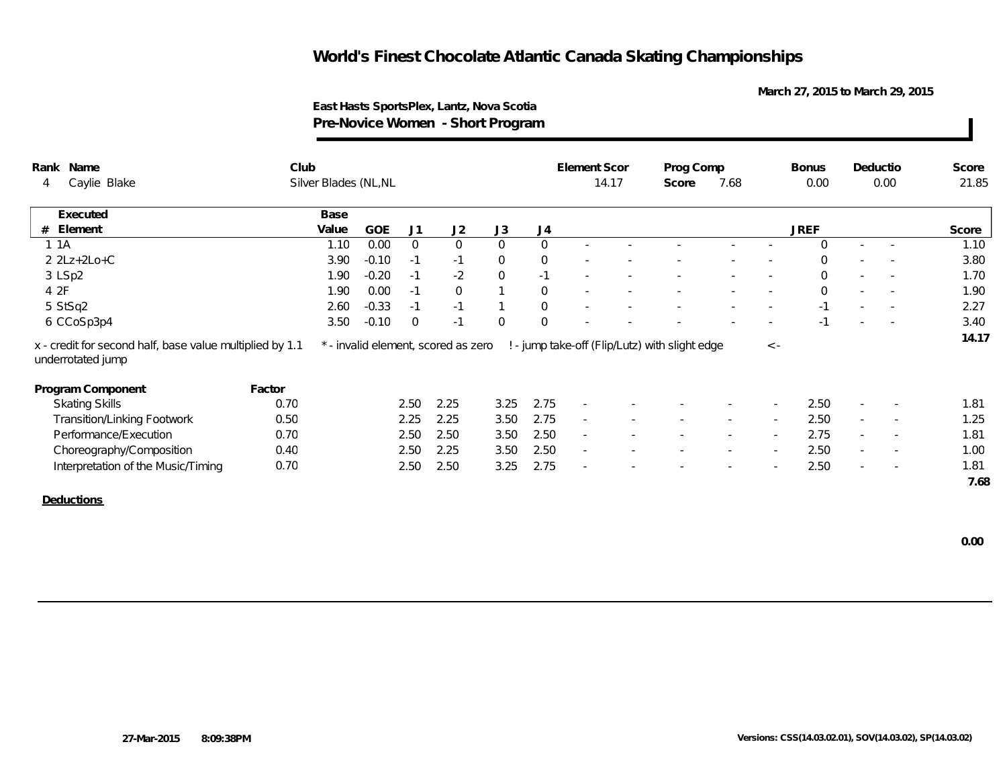**March 27, 2015 to March 29, 2015**

### **East Hasts SportsPlex, Lantz, Nova Scotia Pre-Novice Women - Short Program**

| Rank Name                                                                     | Club   |                       |            |                |                                     |                |                | Element Scor             |       | Prog Comp                                      |        |             | <b>Bonus</b> |                          | Deductio                 | Score |
|-------------------------------------------------------------------------------|--------|-----------------------|------------|----------------|-------------------------------------|----------------|----------------|--------------------------|-------|------------------------------------------------|--------|-------------|--------------|--------------------------|--------------------------|-------|
| Caylie Blake<br>4                                                             |        | Silver Blades (NL, NL |            |                |                                     |                |                |                          | 14.17 | Score                                          | 7.68   |             | 0.00         |                          | 0.00                     | 21.85 |
| Executed                                                                      |        | Base                  |            |                |                                     |                |                |                          |       |                                                |        |             |              |                          |                          |       |
| Element<br>#                                                                  |        | Value                 | <b>GOE</b> | J1             | J2                                  | J3             | J <sub>4</sub> |                          |       |                                                |        |             | <b>JREF</b>  |                          |                          | Score |
| 1 1 A                                                                         |        | 1.10                  | 0.00       | $\overline{0}$ | $\overline{0}$                      | $\overline{0}$ | $\overline{0}$ |                          |       |                                                |        |             | $\Omega$     | $\sim$                   |                          | 1.10  |
| $2 2Lz+2Lo+C$                                                                 |        | 3.90                  | $-0.10$    | $-1$           | $-1$                                | $\mathbf{0}$   | $\overline{0}$ | $\sim$                   |       |                                                |        | ×.          | $\Omega$     |                          | $\sim$                   | 3.80  |
| 3 LSp2                                                                        |        | 1.90                  | $-0.20$    | $-1$           | $-2$                                | $\mathbf 0$    | $-1$           | $\sim$                   |       |                                                |        |             | $\Omega$     |                          | $\overline{\phantom{a}}$ | 1.70  |
| 4 2F                                                                          |        | 1.90                  | 0.00       | $-1$           | $\overline{0}$                      |                | $\mathbf 0$    |                          |       |                                                |        | $\sim$      | $\Omega$     | $\sim$                   | $\sim$                   | 1.90  |
| 5 StSq2                                                                       |        | 2.60                  | $-0.33$    | $-1$           | $-1$                                |                | $\mathbf 0$    | $\sim$                   |       |                                                |        |             | $-1$         | $\overline{\phantom{a}}$ |                          | 2.27  |
| 6 CCoSp3p4                                                                    |        | 3.50                  | $-0.10$    | $\overline{0}$ | $-1$                                | $\overline{0}$ | $\overline{0}$ |                          |       |                                                |        |             | $-1$         | $\sim$                   |                          | 3.40  |
| x - credit for second half, base value multiplied by 1.1<br>underrotated jump |        |                       |            |                | * - invalid element, scored as zero |                |                |                          |       | ! - jump take-off (Flip/Lutz) with slight edge |        | $\langle$ - |              |                          |                          | 14.17 |
| Program Component                                                             | Factor |                       |            |                |                                     |                |                |                          |       |                                                |        |             |              |                          |                          |       |
| <b>Skating Skills</b>                                                         | 0.70   |                       |            | 2.50           | 2.25                                | 3.25           | 2.75           | $\sim$                   |       |                                                |        | $\sim$      | 2.50         | $\sim$                   |                          | 1.81  |
| <b>Transition/Linking Footwork</b>                                            | 0.50   |                       |            | 2.25           | 2.25                                | 3.50           | 2.75           | $\sim$                   |       |                                                | $\sim$ | $\sim$      | 2.50         | $\sim$                   | $\sim$                   | 1.25  |
| Performance/Execution                                                         | 0.70   |                       |            | 2.50           | 2.50                                | 3.50           | 2.50           | $\sim$                   |       |                                                |        |             | 2.75         | $\sim$                   | $\overline{\phantom{a}}$ | 1.81  |
| Choreography/Composition                                                      | 0.40   |                       |            | 2.50           | 2.25                                | 3.50           | 2.50           | $\overline{\phantom{a}}$ |       |                                                |        |             | 2.50         | $\sim$                   | $\overline{\phantom{a}}$ | 1.00  |
| Interpretation of the Music/Timing                                            | 0.70   |                       |            | 2.50           | 2.50                                | 3.25           | 2.75           | ×.                       |       |                                                |        |             | 2.50         | $\sim$                   |                          | 1.81  |
|                                                                               |        |                       |            |                |                                     |                |                |                          |       |                                                |        |             |              |                          |                          | 7.68  |
| Deductions                                                                    |        |                       |            |                |                                     |                |                |                          |       |                                                |        |             |              |                          |                          |       |
|                                                                               |        |                       |            |                |                                     |                |                |                          |       |                                                |        |             |              |                          |                          |       |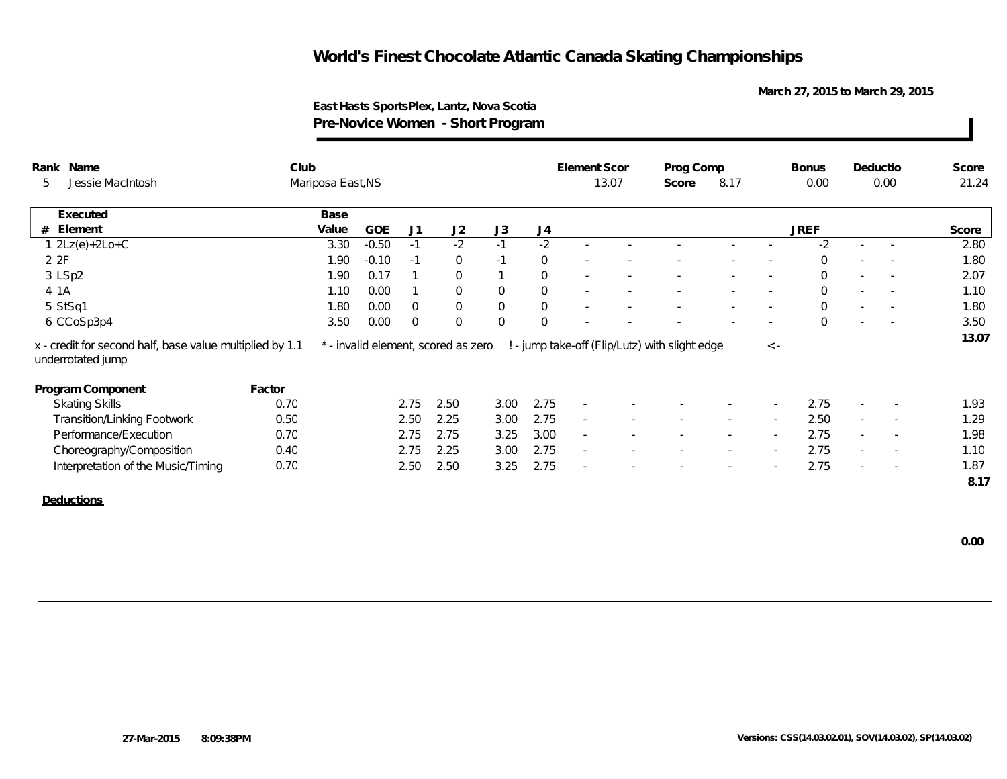**March 27, 2015 to March 29, 2015**

### **East Hasts SportsPlex, Lantz, Nova Scotia Pre-Novice Women - Short Program**

| Name<br>Rank                                                                  | Club   |                   |            |                |                                     |                |                | Element Scor             |                          | Prog Comp                                      |        |                          | <b>Bonus</b>   |                          | Deductio                 | Score |
|-------------------------------------------------------------------------------|--------|-------------------|------------|----------------|-------------------------------------|----------------|----------------|--------------------------|--------------------------|------------------------------------------------|--------|--------------------------|----------------|--------------------------|--------------------------|-------|
| Jessie MacIntosh<br>5                                                         |        | Mariposa East, NS |            |                |                                     |                |                |                          | 13.07                    | Score                                          | 8.17   |                          | 0.00           |                          | 0.00                     | 21.24 |
| Executed                                                                      |        | Base              |            |                |                                     |                |                |                          |                          |                                                |        |                          |                |                          |                          |       |
| Element<br>#                                                                  |        | Value             | <b>GOE</b> | J1             | J2                                  | J3             | J4             |                          |                          |                                                |        |                          | <b>JREF</b>    |                          |                          | Score |
| $1 2Lz(e)+2Lo+C$                                                              |        | 3.30              | $-0.50$    | $-1$           | $-2$                                | $-1$           | $-2$           |                          |                          |                                                |        |                          | $-2$           | $\sim$                   |                          | 2.80  |
| 2 2F                                                                          |        | 1.90              | $-0.10$    | $-1$           | $\Omega$                            | $-1$           | $\mathbf{0}$   | $\overline{\phantom{a}}$ |                          |                                                |        |                          | $\Omega$       | $\sim$                   | $\sim$                   | 1.80  |
| 3 LSp2                                                                        |        | 1.90              | 0.17       | $\mathbf{1}$   | $\Omega$                            | $\mathbf{1}$   | $\mathbf 0$    |                          |                          |                                                |        |                          | $\Omega$       | $\overline{\phantom{a}}$ | $\overline{\phantom{a}}$ | 2.07  |
| 4 1 A                                                                         |        | 1.10              | 0.00       | $\mathbf{1}$   | $\Omega$                            | $\mathsf{O}$   | $\mathbf 0$    |                          |                          |                                                |        | $\sim$                   | $\Omega$       | $\sim$                   | $\sim$                   | 1.10  |
| 5 StSq1                                                                       |        | 1.80              | 0.00       | $\overline{0}$ | $\overline{0}$                      | $\overline{0}$ | $\mathbf 0$    | $\overline{\phantom{a}}$ |                          |                                                |        | $\overline{\phantom{a}}$ | $\overline{0}$ | $\overline{\phantom{a}}$ | $\overline{\phantom{a}}$ | 1.80  |
| 6 CCoSp3p4                                                                    |        | 3.50              | 0.00       | $\overline{0}$ | $\Omega$                            | $\overline{0}$ | $\overline{0}$ |                          |                          |                                                |        |                          | $\Omega$       | $\overline{\phantom{a}}$ |                          | 3.50  |
| x - credit for second half, base value multiplied by 1.1<br>underrotated jump |        |                   |            |                | * - invalid element, scored as zero |                |                |                          |                          | ! - jump take-off (Flip/Lutz) with slight edge |        | $\langle$ -              |                |                          |                          | 13.07 |
| Program Component                                                             | Factor |                   |            |                |                                     |                |                |                          |                          |                                                |        |                          |                |                          |                          |       |
| <b>Skating Skills</b>                                                         | 0.70   |                   |            | 2.75           | 2.50                                | 3.00           | 2.75           | $\overline{\phantom{a}}$ |                          |                                                |        | $\sim$                   | 2.75           | $\overline{\phantom{a}}$ | $\overline{\phantom{a}}$ | 1.93  |
| <b>Transition/Linking Footwork</b>                                            | 0.50   |                   |            | 2.50           | 2.25                                | 3.00           | 2.75           | $\sim$                   | $\overline{\phantom{a}}$ | $\overline{\phantom{a}}$                       | $\sim$ | $\sim$                   | 2.50           | $\sim$                   | $\sim$                   | 1.29  |
| Performance/Execution                                                         | 0.70   |                   |            | 2.75           | 2.75                                | 3.25           | 3.00           | $\sim$                   |                          |                                                |        |                          | 2.75           |                          |                          | 1.98  |
| Choreography/Composition                                                      | 0.40   |                   |            | 2.75           | 2.25                                | 3.00           | 2.75           | $\sim$                   |                          |                                                |        |                          | 2.75           |                          | $\overline{\phantom{a}}$ | 1.10  |
| Interpretation of the Music/Timing                                            | 0.70   |                   |            | 2.50           | 2.50                                | 3.25           | 2.75           | $\sim$                   |                          |                                                |        |                          | 2.75           | $\sim$                   | $\overline{\phantom{a}}$ | 1.87  |
|                                                                               |        |                   |            |                |                                     |                |                |                          |                          |                                                |        |                          |                |                          |                          | 8.17  |
| Deductions                                                                    |        |                   |            |                |                                     |                |                |                          |                          |                                                |        |                          |                |                          |                          |       |
|                                                                               |        |                   |            |                |                                     |                |                |                          |                          |                                                |        |                          |                |                          |                          |       |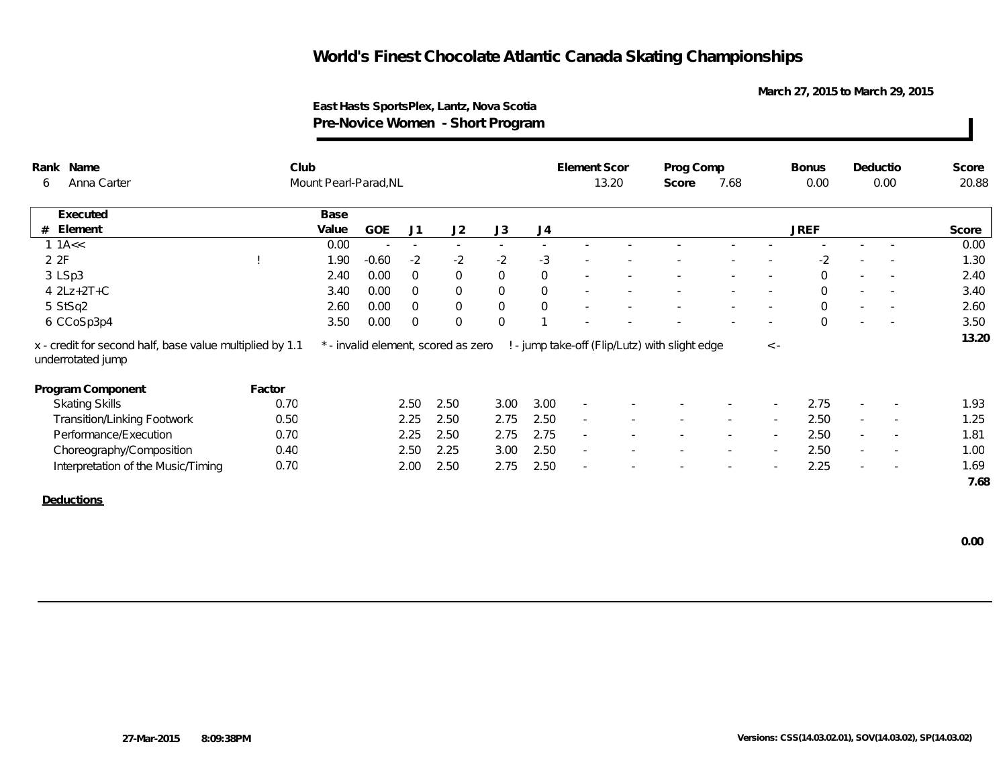**March 27, 2015 to March 29, 2015**

### **East Hasts SportsPlex, Lantz, Nova Scotia Pre-Novice Women - Short Program**

| Rank Name                                                                     | Club   |                       |         |                |                                     |                          |             | Element Scor             |       | Prog Comp                                      |        |                          | <b>Bonus</b> |        | Deductio                 | Score |
|-------------------------------------------------------------------------------|--------|-----------------------|---------|----------------|-------------------------------------|--------------------------|-------------|--------------------------|-------|------------------------------------------------|--------|--------------------------|--------------|--------|--------------------------|-------|
| Anna Carter<br>6                                                              |        | Mount Pearl-Parad, NL |         |                |                                     |                          |             |                          | 13.20 | Score                                          | 7.68   |                          | 0.00         |        | 0.00                     | 20.88 |
| Executed                                                                      |        | Base                  |         |                |                                     |                          |             |                          |       |                                                |        |                          |              |        |                          |       |
| # Element                                                                     |        | Value                 | GOE     | J1             | J2                                  | J3                       | J4          |                          |       |                                                |        |                          | <b>JREF</b>  |        |                          | Score |
| 1 1 $A <$                                                                     |        | 0.00                  | $\sim$  | $\sim$         | $\sim$                              | $\overline{\phantom{a}}$ |             |                          |       |                                                |        |                          |              |        |                          | 0.00  |
| 2 2F                                                                          |        | 1.90                  | $-0.60$ | $-2$           | $-2$                                | $-2$                     | $-3$        | $\overline{\phantom{a}}$ |       |                                                |        |                          | $-2$         |        | $\overline{\phantom{a}}$ | 1.30  |
| 3 LSp3                                                                        |        | 2.40                  | 0.00    | $\overline{0}$ | $\overline{0}$                      | $\mathsf{O}\xspace$      | $\mathbf 0$ | $\sim$                   |       |                                                |        | $\overline{\phantom{a}}$ | $\mathbf 0$  | $\sim$ | $\overline{\phantom{a}}$ | 2.40  |
| $4$ $2Lz+2T+C$                                                                |        | 3.40                  | 0.00    | $\overline{0}$ | $\overline{0}$                      | $\mathbf 0$              | $\mathbf 0$ | $\overline{\phantom{a}}$ |       |                                                |        | $\sim$                   | $\mathbf{0}$ | $\sim$ | $\sim$                   | 3.40  |
| 5 StSq2                                                                       |        | 2.60                  | 0.00    | $\overline{0}$ | $\overline{0}$                      | $\mathbf 0$              | $\mathbf 0$ |                          |       |                                                |        |                          | $\mathbf{0}$ |        |                          | 2.60  |
| 6 CCoSp3p4                                                                    |        | 3.50                  | 0.00    | $\overline{0}$ | $\Omega$                            | $\overline{0}$           |             |                          |       |                                                |        |                          | $\Omega$     |        |                          | 3.50  |
| x - credit for second half, base value multiplied by 1.1<br>underrotated jump |        |                       |         |                | * - invalid element, scored as zero |                          |             |                          |       | ! - jump take-off (Flip/Lutz) with slight edge |        | $\langle$ -              |              |        |                          | 13.20 |
| Program Component                                                             | Factor |                       |         |                |                                     |                          |             |                          |       |                                                |        |                          |              |        |                          |       |
| <b>Skating Skills</b>                                                         | 0.70   |                       |         | 2.50           | 2.50                                | 3.00                     | 3.00        | $\sim$                   |       |                                                |        |                          | 2.75         |        |                          | 1.93  |
| <b>Transition/Linking Footwork</b>                                            | 0.50   |                       |         | 2.25           | 2.50                                | 2.75                     | 2.50        | $\sim$                   |       |                                                |        | $\sim$                   | 2.50         | $\sim$ | $\overline{\phantom{a}}$ | 1.25  |
| Performance/Execution                                                         | 0.70   |                       |         | 2.25           | 2.50                                | 2.75                     | 2.75        | $\sim$                   |       |                                                |        | $\sim$                   | 2.50         | $\sim$ | $\overline{\phantom{a}}$ | 1.81  |
| Choreography/Composition                                                      | 0.40   |                       |         | 2.50           | 2.25                                | 3.00                     | 2.50        | $\sim$                   |       |                                                | $\sim$ | $\sim$                   | 2.50         | $\sim$ | $\overline{\phantom{a}}$ | 1.00  |
| Interpretation of the Music/Timing                                            | 0.70   |                       |         | 2.00           | 2.50                                | 2.75                     | 2.50        | ×.                       |       |                                                |        |                          | 2.25         |        |                          | 1.69  |
|                                                                               |        |                       |         |                |                                     |                          |             |                          |       |                                                |        |                          |              |        |                          | 7.68  |
| Deductions                                                                    |        |                       |         |                |                                     |                          |             |                          |       |                                                |        |                          |              |        |                          |       |
|                                                                               |        |                       |         |                |                                     |                          |             |                          |       |                                                |        |                          |              |        |                          |       |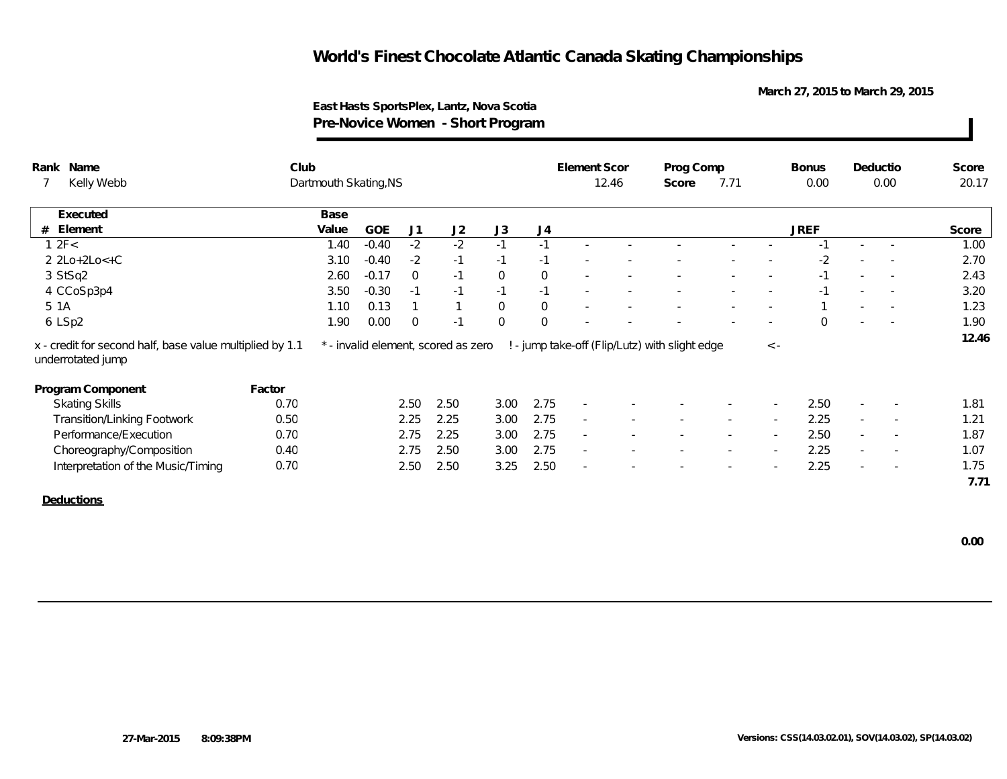**March 27, 2015 to March 29, 2015**

### **East Hasts SportsPlex, Lantz, Nova Scotia Pre-Novice Women - Short Program**

| Rank Name                                                                     | Club                  |                                     |                |                         |                |                | Element Scor             |       | Prog Comp                                      |        |             | <b>Bonus</b> |        | Deductio                 | Score |
|-------------------------------------------------------------------------------|-----------------------|-------------------------------------|----------------|-------------------------|----------------|----------------|--------------------------|-------|------------------------------------------------|--------|-------------|--------------|--------|--------------------------|-------|
| Kelly Webb                                                                    | Dartmouth Skating, NS |                                     |                |                         |                |                |                          | 12.46 | Score                                          | 7.71   |             | 0.00         |        | 0.00                     | 20.17 |
| Executed                                                                      | Base                  |                                     |                |                         |                |                |                          |       |                                                |        |             |              |        |                          |       |
| Element<br>#                                                                  | Value                 | <b>GOE</b>                          | J1             | J2                      | J3             | J4             |                          |       |                                                |        |             | <b>JREF</b>  |        |                          | Score |
| 12F<                                                                          | 1.40                  | $-0.40$                             | $-2$           | $-2$                    | $-1$           | $-1$           |                          |       |                                                |        |             |              |        |                          | 1.00  |
| $2 2Lo+2Lo<+C$                                                                | 3.10                  | $-0.40$                             | $-2$           | $-1$                    | $-1$           | $-1$           |                          |       |                                                |        |             | $-2$         |        |                          | 2.70  |
| 3 StSq2                                                                       | 2.60                  | $-0.17$                             | $\overline{0}$ | $-1$                    | $\mathbf 0$    | $\mathbf 0$    | $\overline{\phantom{a}}$ |       |                                                |        |             | $-1$         |        | $\sim$                   | 2.43  |
| 4 CCoSp3p4                                                                    | 3.50                  | $-0.30$                             | $-1$           | $-1$                    | $-1$           | $-1$           | $\sim$                   |       |                                                |        | $\sim$      | $-1$         | $\sim$ | $\sim$                   | 3.20  |
| 5 1A                                                                          | 1.10                  | 0.13                                |                | $\mathbf{\overline{1}}$ | $\mathbf 0$    | $\overline{0}$ | $\sim$                   |       |                                                |        |             |              | $\sim$ |                          | 1.23  |
| 6 LSp2                                                                        | 1.90                  | 0.00                                | $\overline{0}$ | $-1$                    | $\overline{0}$ | $\overline{0}$ |                          |       |                                                |        |             | $\Omega$     |        |                          | 1.90  |
| x - credit for second half, base value multiplied by 1.1<br>underrotated jump |                       | * - invalid element, scored as zero |                |                         |                |                |                          |       | ! - jump take-off (Flip/Lutz) with slight edge |        | $\langle$ - |              |        |                          | 12.46 |
| Program Component                                                             | Factor                |                                     |                |                         |                |                |                          |       |                                                |        |             |              |        |                          |       |
| <b>Skating Skills</b>                                                         | 0.70                  |                                     | 2.50           | 2.50                    | 3.00           | 2.75           |                          |       |                                                |        |             | 2.50         |        |                          | 1.81  |
| <b>Transition/Linking Footwork</b>                                            | 0.50                  |                                     | 2.25           | 2.25                    | 3.00           | 2.75           | $\sim$                   |       |                                                | $\sim$ | $\sim$      | 2.25         | $\sim$ | $\overline{\phantom{a}}$ | 1.21  |
| Performance/Execution                                                         | 0.70                  |                                     | 2.75           | 2.25                    | 3.00           | 2.75           | $\sim$                   |       |                                                |        | $\sim$      | 2.50         | $\sim$ | $\overline{\phantom{a}}$ | 1.87  |
| Choreography/Composition                                                      | 0.40                  |                                     | 2.75           | 2.50                    | 3.00           | 2.75           | $\sim$                   |       |                                                | $\sim$ | $\sim$      | 2.25         | $\sim$ | $\overline{\phantom{a}}$ | 1.07  |
| Interpretation of the Music/Timing                                            | 0.70                  |                                     | 2.50           | 2.50                    | 3.25           | 2.50           | $\overline{a}$           |       |                                                |        |             | 2.25         | $\sim$ |                          | 1.75  |
|                                                                               |                       |                                     |                |                         |                |                |                          |       |                                                |        |             |              |        |                          | 7.71  |
| <b>Deductions</b>                                                             |                       |                                     |                |                         |                |                |                          |       |                                                |        |             |              |        |                          |       |
|                                                                               |                       |                                     |                |                         |                |                |                          |       |                                                |        |             |              |        |                          |       |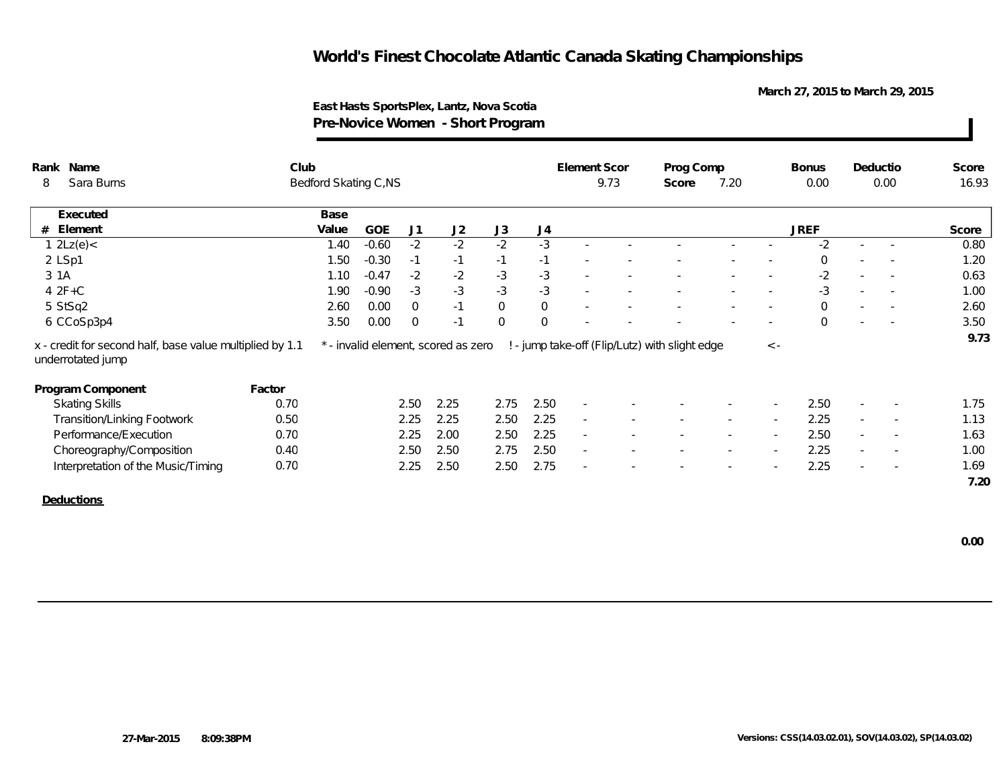**March 27, 2015 to March 29, 2015**

### **East Hasts SportsPlex, Lantz, Nova Scotia Pre-Novice Women - Short Program**

| Sara Burns<br>Bedford Skating C,NS<br>9.73<br>7.20<br>0.00<br>0.00<br>8<br>Score<br>Base<br>Executed<br><b>JREF</b><br>J2<br>J3<br>J4<br>Element<br>Value<br><b>GOE</b><br>J1<br>#<br>1 $2Lz(e)$ <<br>$-2$<br>$-2$<br>$-3$<br>$-0.60$<br>$-2$<br>$-2$<br>1.40<br>$-0.30$<br>2 LSp1<br>1.50<br>$-1$<br>$-1$<br>$-1$<br>$-1$<br>$\mathbf{0}$ | 16.93<br>Score |
|--------------------------------------------------------------------------------------------------------------------------------------------------------------------------------------------------------------------------------------------------------------------------------------------------------------------------------------------|----------------|
|                                                                                                                                                                                                                                                                                                                                            |                |
|                                                                                                                                                                                                                                                                                                                                            |                |
|                                                                                                                                                                                                                                                                                                                                            |                |
|                                                                                                                                                                                                                                                                                                                                            | 0.80           |
|                                                                                                                                                                                                                                                                                                                                            | 1.20           |
| $-2$<br>$-3$<br>$-3$<br>3 1A<br>$-2$<br>$-2$<br>1.10<br>$-0.47$<br>$\sim$<br>$\overline{\phantom{a}}$                                                                                                                                                                                                                                      | 0.63           |
| $-3$<br>$-3$<br>$-3$<br>$42F+C$<br>$-0.90$<br>$-3$<br>$-3$<br>1.90<br>$\overline{\phantom{a}}$<br>$\sim$<br>$\sim$<br>$\sim$                                                                                                                                                                                                               | 1.00           |
| $\mathbf 0$<br>$\mathsf{O}\xspace$<br>5 StSq2<br>2.60<br>0.00<br>$\overline{0}$<br>$-1$<br>$\Omega$<br>$\sim$<br>$\sim$<br>$\overline{\phantom{a}}$                                                                                                                                                                                        | 2.60           |
| 0.00<br>$\overline{0}$<br>$\overline{0}$<br>6 CCoSp3p4<br>3.50<br>$\overline{0}$<br>$-1$<br>$\Omega$                                                                                                                                                                                                                                       | 3.50           |
| ! - jump take-off (Flip/Lutz) with slight edge<br>x - credit for second half, base value multiplied by 1.1<br>* - invalid element, scored as zero<br>$\langle$ -<br>underrotated jump                                                                                                                                                      | 9.73           |
| Program Component<br>Factor                                                                                                                                                                                                                                                                                                                |                |
| 2.25<br>2.50<br>2.50<br>0.70<br>2.50<br>2.75<br><b>Skating Skills</b>                                                                                                                                                                                                                                                                      | 1.75           |
| 2.25<br>2.25<br>2.25<br><b>Transition/Linking Footwork</b><br>0.50<br>2.25<br>2.50<br>$\sim$<br>$\sim$<br>$\overline{\phantom{a}}$<br>$\sim$                                                                                                                                                                                               | 1.13           |
| 0.70<br>2.50<br>2.25<br>2.00<br>2.50<br>2.25<br>Performance/Execution<br>$\sim$<br>$\sim$<br>$\sim$<br>$\overline{\phantom{a}}$                                                                                                                                                                                                            | 1.63           |
| 2.50<br>2.25<br>2.50<br>2.50<br>2.75<br>Choreography/Composition<br>0.40<br>$\sim$<br>$\sim$<br>$\sim$<br>$\sim$<br>$\sim$                                                                                                                                                                                                                 | 1.00           |
| 0.70<br>2.75<br>2.25<br>2.25<br>2.50<br>2.50<br>Interpretation of the Music/Timing<br>$\sim$                                                                                                                                                                                                                                               | 1.69           |
|                                                                                                                                                                                                                                                                                                                                            | 7.20           |
| Deductions                                                                                                                                                                                                                                                                                                                                 |                |
|                                                                                                                                                                                                                                                                                                                                            |                |